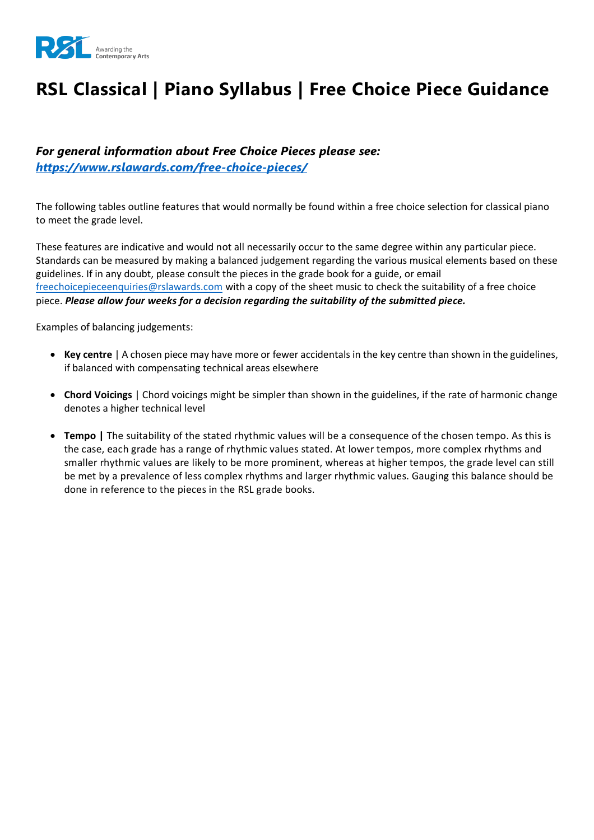

# **RSL Classical | Piano Syllabus | Free Choice Piece Guidance**

### *For general information about Free Choice Pieces please see: <https://www.rslawards.com/free-choice-pieces/>*

The following tables outline features that would normally be found within a free choice selection for classical piano to meet the grade level.

These features are indicative and would not all necessarily occur to the same degree within any particular piece. Standards can be measured by making a balanced judgement regarding the various musical elements based on these guidelines. If in any doubt, please consult the pieces in the grade book for a guide, or email [freechoicepieceenquiries@rslawards.com](mailto:freechoicepieceenquiries@rslawards.com) with a copy of the sheet music to check the suitability of a free choice piece. *Please allow four weeks for a decision regarding the suitability of the submitted piece.*

Examples of balancing judgements:

- **Key centre** | A chosen piece may have more or fewer accidentals in the key centre than shown in the guidelines, if balanced with compensating technical areas elsewhere
- **Chord Voicings** | Chord voicings might be simpler than shown in the guidelines, if the rate of harmonic change denotes a higher technical level
- **Tempo |** The suitability of the stated rhythmic values will be a consequence of the chosen tempo. As this is the case, each grade has a range of rhythmic values stated. At lower tempos, more complex rhythms and smaller rhythmic values are likely to be more prominent, whereas at higher tempos, the grade level can still be met by a prevalence of less complex rhythms and larger rhythmic values. Gauging this balance should be done in reference to the pieces in the RSL grade books.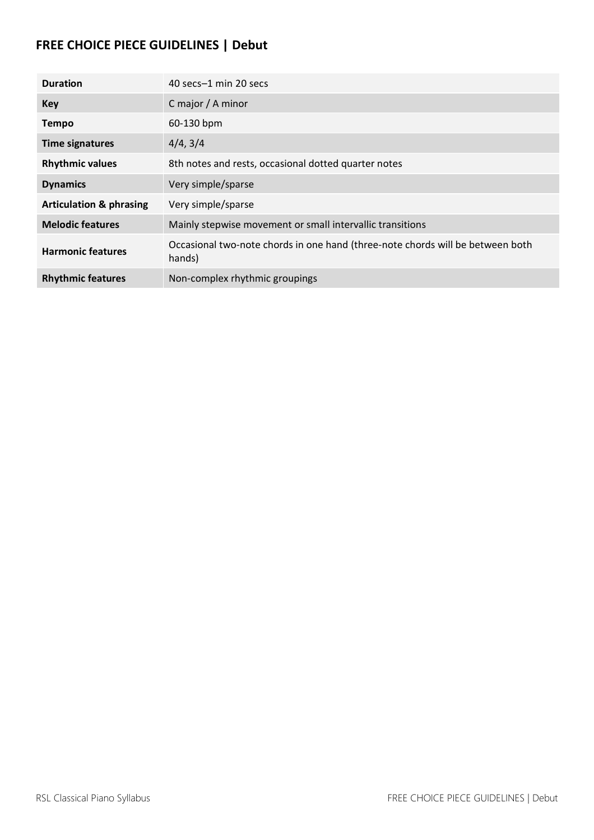## **FREE CHOICE PIECE GUIDELINES | Debut**

| <b>Duration</b>                    | 40 secs-1 min 20 secs                                                                    |
|------------------------------------|------------------------------------------------------------------------------------------|
| <b>Key</b>                         | C major / A minor                                                                        |
| <b>Tempo</b>                       | 60-130 bpm                                                                               |
| <b>Time signatures</b>             | 4/4, 3/4                                                                                 |
| <b>Rhythmic values</b>             | 8th notes and rests, occasional dotted quarter notes                                     |
| <b>Dynamics</b>                    | Very simple/sparse                                                                       |
| <b>Articulation &amp; phrasing</b> | Very simple/sparse                                                                       |
| <b>Melodic features</b>            | Mainly stepwise movement or small intervallic transitions                                |
| <b>Harmonic features</b>           | Occasional two-note chords in one hand (three-note chords will be between both<br>hands) |
| <b>Rhythmic features</b>           | Non-complex rhythmic groupings                                                           |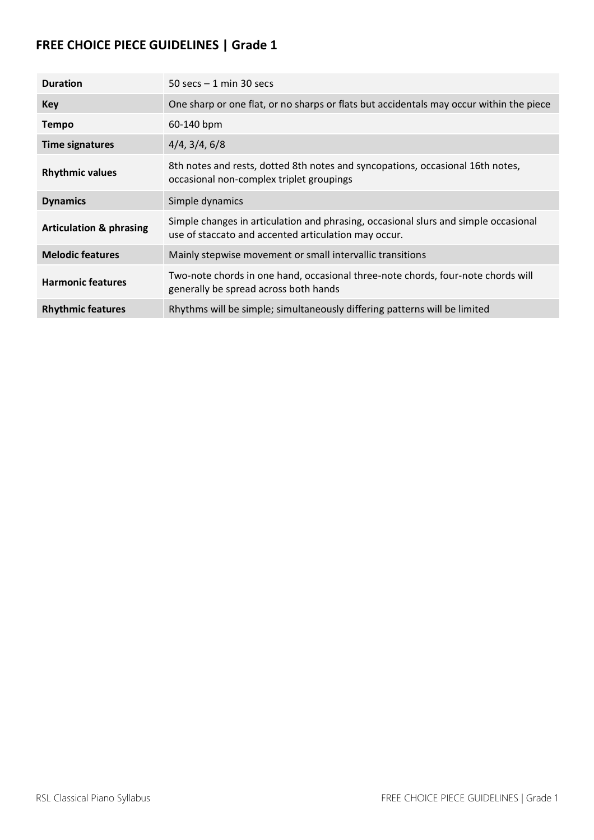| <b>Duration</b>                    | 50 secs $-1$ min 30 secs                                                                                                                    |
|------------------------------------|---------------------------------------------------------------------------------------------------------------------------------------------|
| Key                                | One sharp or one flat, or no sharps or flats but accidentals may occur within the piece                                                     |
| <b>Tempo</b>                       | 60-140 bpm                                                                                                                                  |
| <b>Time signatures</b>             | 4/4, 3/4, 6/8                                                                                                                               |
| <b>Rhythmic values</b>             | 8th notes and rests, dotted 8th notes and syncopations, occasional 16th notes,<br>occasional non-complex triplet groupings                  |
| <b>Dynamics</b>                    | Simple dynamics                                                                                                                             |
| <b>Articulation &amp; phrasing</b> | Simple changes in articulation and phrasing, occasional slurs and simple occasional<br>use of staccato and accented articulation may occur. |
| <b>Melodic features</b>            | Mainly stepwise movement or small intervallic transitions                                                                                   |
| <b>Harmonic features</b>           | Two-note chords in one hand, occasional three-note chords, four-note chords will<br>generally be spread across both hands                   |
| <b>Rhythmic features</b>           | Rhythms will be simple; simultaneously differing patterns will be limited                                                                   |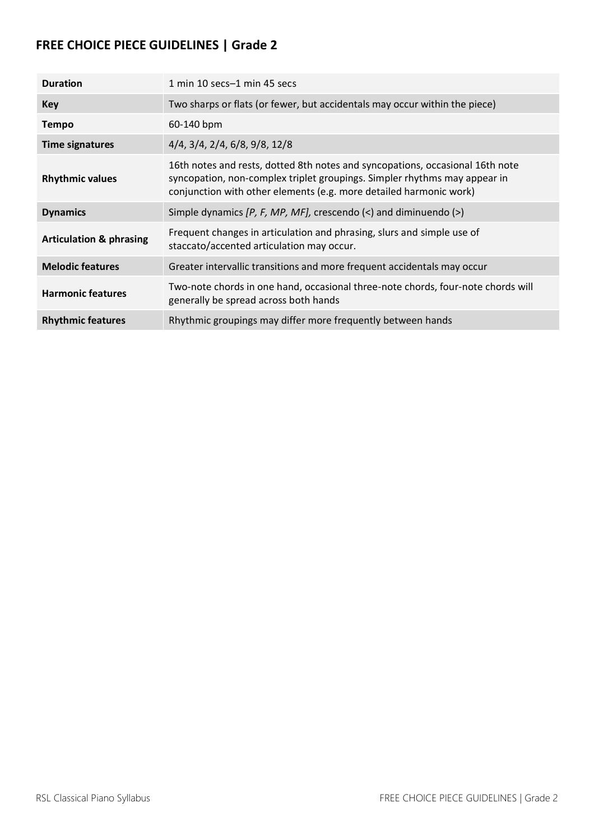| <b>Duration</b>                    | 1 min 10 secs-1 min 45 secs                                                                                                                                                                                                      |
|------------------------------------|----------------------------------------------------------------------------------------------------------------------------------------------------------------------------------------------------------------------------------|
| Key                                | Two sharps or flats (or fewer, but accidentals may occur within the piece)                                                                                                                                                       |
| <b>Tempo</b>                       | 60-140 bpm                                                                                                                                                                                                                       |
| <b>Time signatures</b>             | 4/4, 3/4, 2/4, 6/8, 9/8, 12/8                                                                                                                                                                                                    |
| <b>Rhythmic values</b>             | 16th notes and rests, dotted 8th notes and syncopations, occasional 16th note<br>syncopation, non-complex triplet groupings. Simpler rhythms may appear in<br>conjunction with other elements (e.g. more detailed harmonic work) |
| <b>Dynamics</b>                    | Simple dynamics $[P, F, MP, MF]$ , crescendo $\langle \cdot \rangle$ and diminuendo $\langle \cdot \rangle$                                                                                                                      |
| <b>Articulation &amp; phrasing</b> | Frequent changes in articulation and phrasing, slurs and simple use of<br>staccato/accented articulation may occur.                                                                                                              |
| <b>Melodic features</b>            | Greater intervallic transitions and more frequent accidentals may occur                                                                                                                                                          |
| <b>Harmonic features</b>           | Two-note chords in one hand, occasional three-note chords, four-note chords will<br>generally be spread across both hands                                                                                                        |
| <b>Rhythmic features</b>           | Rhythmic groupings may differ more frequently between hands                                                                                                                                                                      |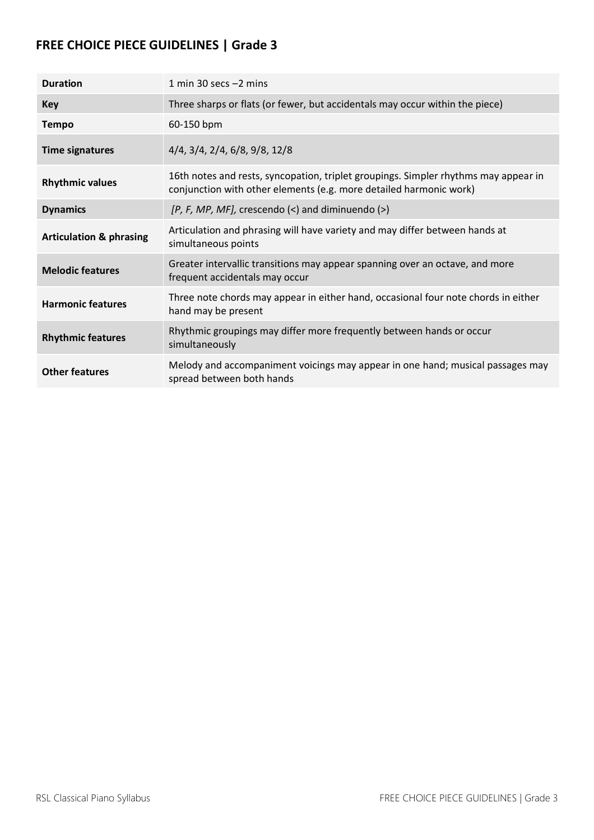| <b>Duration</b>                    | 1 min 30 secs $-2$ mins                                                                                                                                   |
|------------------------------------|-----------------------------------------------------------------------------------------------------------------------------------------------------------|
| Key                                | Three sharps or flats (or fewer, but accidentals may occur within the piece)                                                                              |
| <b>Tempo</b>                       | 60-150 bpm                                                                                                                                                |
| <b>Time signatures</b>             | 4/4, 3/4, 2/4, 6/8, 9/8, 12/8                                                                                                                             |
| <b>Rhythmic values</b>             | 16th notes and rests, syncopation, triplet groupings. Simpler rhythms may appear in<br>conjunction with other elements (e.g. more detailed harmonic work) |
| <b>Dynamics</b>                    | $[P, F, MP, MF],$ crescendo $(\leq)$ and diminuendo $(\geq)$                                                                                              |
| <b>Articulation &amp; phrasing</b> | Articulation and phrasing will have variety and may differ between hands at<br>simultaneous points                                                        |
| <b>Melodic features</b>            | Greater intervallic transitions may appear spanning over an octave, and more<br>frequent accidentals may occur                                            |
| <b>Harmonic features</b>           | Three note chords may appear in either hand, occasional four note chords in either<br>hand may be present                                                 |
| <b>Rhythmic features</b>           | Rhythmic groupings may differ more frequently between hands or occur<br>simultaneously                                                                    |
| <b>Other features</b>              | Melody and accompaniment voicings may appear in one hand; musical passages may<br>spread between both hands                                               |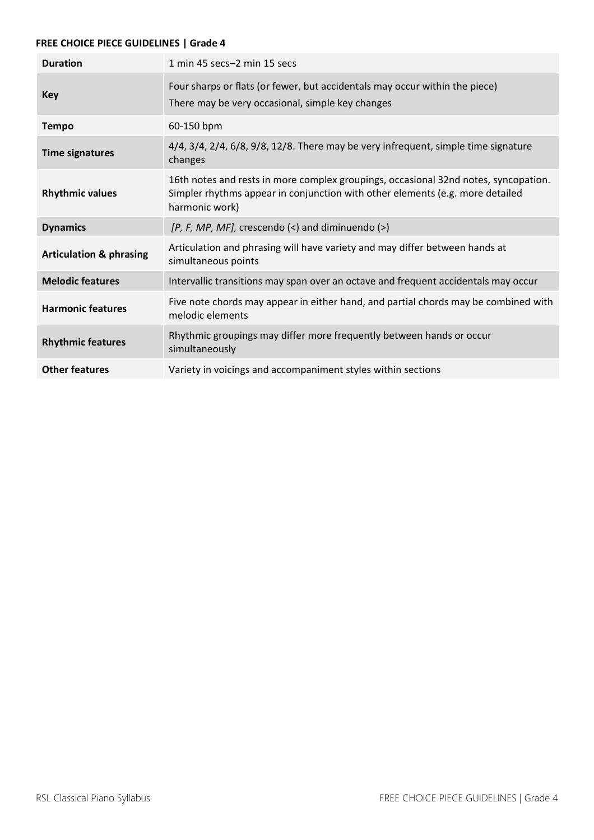| <b>Duration</b>                    | 1 min 45 secs-2 min 15 secs                                                                                                                                                            |
|------------------------------------|----------------------------------------------------------------------------------------------------------------------------------------------------------------------------------------|
| Key                                | Four sharps or flats (or fewer, but accidentals may occur within the piece)<br>There may be very occasional, simple key changes                                                        |
| <b>Tempo</b>                       | 60-150 bpm                                                                                                                                                                             |
| <b>Time signatures</b>             | $4/4$ , $3/4$ , $2/4$ , $6/8$ , $9/8$ , $12/8$ . There may be very infrequent, simple time signature<br>changes                                                                        |
| <b>Rhythmic values</b>             | 16th notes and rests in more complex groupings, occasional 32nd notes, syncopation.<br>Simpler rhythms appear in conjunction with other elements (e.g. more detailed<br>harmonic work) |
| <b>Dynamics</b>                    | $[P, F, MP, MF],$ crescendo $(\le)$ and diminuendo $(\ge)$                                                                                                                             |
| <b>Articulation &amp; phrasing</b> | Articulation and phrasing will have variety and may differ between hands at<br>simultaneous points                                                                                     |
| <b>Melodic features</b>            | Intervallic transitions may span over an octave and frequent accidentals may occur                                                                                                     |
| <b>Harmonic features</b>           | Five note chords may appear in either hand, and partial chords may be combined with<br>melodic elements                                                                                |
| <b>Rhythmic features</b>           | Rhythmic groupings may differ more frequently between hands or occur<br>simultaneously                                                                                                 |
| <b>Other features</b>              | Variety in voicings and accompaniment styles within sections                                                                                                                           |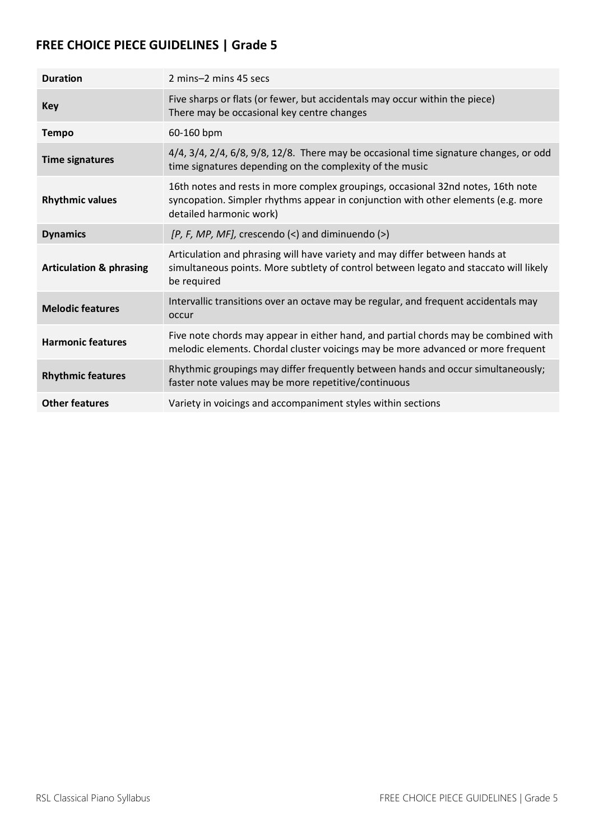| <b>Duration</b>                    | 2 mins-2 mins 45 secs                                                                                                                                                                            |
|------------------------------------|--------------------------------------------------------------------------------------------------------------------------------------------------------------------------------------------------|
| Key                                | Five sharps or flats (or fewer, but accidentals may occur within the piece)<br>There may be occasional key centre changes                                                                        |
| <b>Tempo</b>                       | 60-160 bpm                                                                                                                                                                                       |
| <b>Time signatures</b>             | 4/4, 3/4, 2/4, 6/8, 9/8, 12/8. There may be occasional time signature changes, or odd<br>time signatures depending on the complexity of the music                                                |
| <b>Rhythmic values</b>             | 16th notes and rests in more complex groupings, occasional 32nd notes, 16th note<br>syncopation. Simpler rhythms appear in conjunction with other elements (e.g. more<br>detailed harmonic work) |
| <b>Dynamics</b>                    | $[P, F, MP, MF],$ crescendo $(\le)$ and diminuendo $(\ge)$                                                                                                                                       |
| <b>Articulation &amp; phrasing</b> | Articulation and phrasing will have variety and may differ between hands at<br>simultaneous points. More subtlety of control between legato and staccato will likely<br>be required              |
| <b>Melodic features</b>            | Intervallic transitions over an octave may be regular, and frequent accidentals may<br>occur                                                                                                     |
| <b>Harmonic features</b>           | Five note chords may appear in either hand, and partial chords may be combined with<br>melodic elements. Chordal cluster voicings may be more advanced or more frequent                          |
| <b>Rhythmic features</b>           | Rhythmic groupings may differ frequently between hands and occur simultaneously;<br>faster note values may be more repetitive/continuous                                                         |
| <b>Other features</b>              | Variety in voicings and accompaniment styles within sections                                                                                                                                     |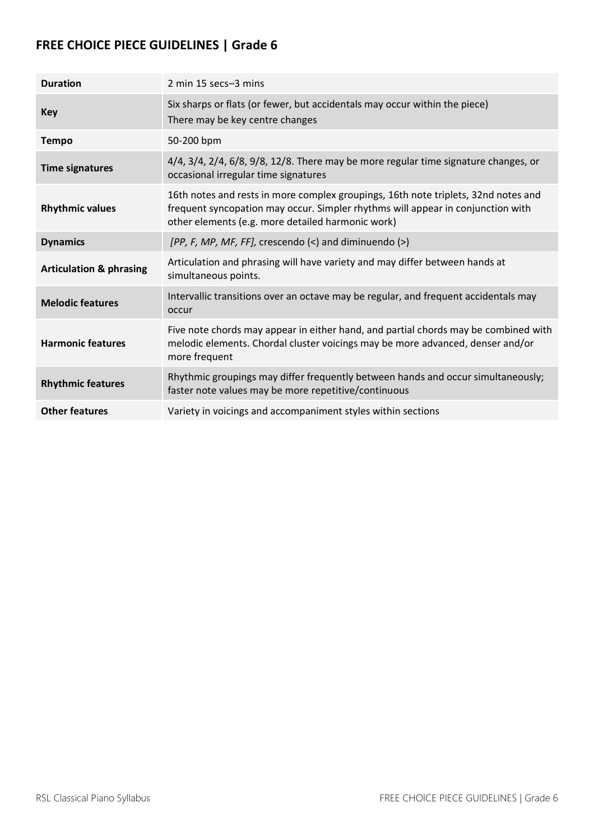| <b>Duration</b>                    | 2 min 15 secs-3 mins                                                                                                                                                                                                       |
|------------------------------------|----------------------------------------------------------------------------------------------------------------------------------------------------------------------------------------------------------------------------|
| Key                                | Six sharps or flats (or fewer, but accidentals may occur within the piece)<br>There may be key centre changes                                                                                                              |
| <b>Tempo</b>                       | 50-200 bpm                                                                                                                                                                                                                 |
| <b>Time signatures</b>             | $4/4$ , $3/4$ , $2/4$ , $6/8$ , $9/8$ , $12/8$ . There may be more regular time signature changes, or<br>occasional irregular time signatures                                                                              |
| <b>Rhythmic values</b>             | 16th notes and rests in more complex groupings, 16th note triplets, 32nd notes and<br>frequent syncopation may occur. Simpler rhythms will appear in conjunction with<br>other elements (e.g. more detailed harmonic work) |
| <b>Dynamics</b>                    | [PP, F, MP, MF, FF], crescendo $(\le)$ and diminuendo $(\ge)$                                                                                                                                                              |
| <b>Articulation &amp; phrasing</b> | Articulation and phrasing will have variety and may differ between hands at<br>simultaneous points.                                                                                                                        |
| <b>Melodic features</b>            | Intervallic transitions over an octave may be regular, and frequent accidentals may<br>occur                                                                                                                               |
| <b>Harmonic features</b>           | Five note chords may appear in either hand, and partial chords may be combined with<br>melodic elements. Chordal cluster voicings may be more advanced, denser and/or<br>more frequent                                     |
| <b>Rhythmic features</b>           | Rhythmic groupings may differ frequently between hands and occur simultaneously;<br>faster note values may be more repetitive/continuous                                                                                   |
| <b>Other features</b>              | Variety in voicings and accompaniment styles within sections                                                                                                                                                               |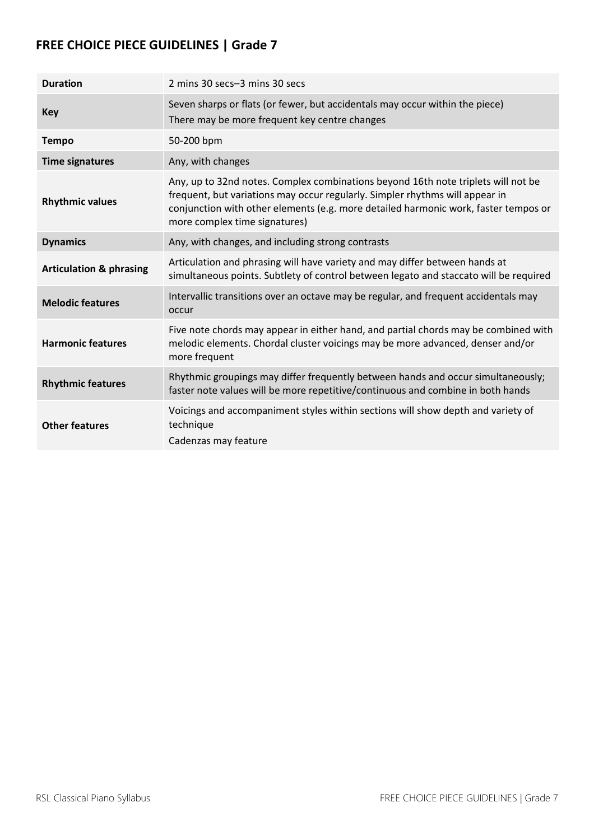| <b>Duration</b>                    | 2 mins 30 secs-3 mins 30 secs                                                                                                                                                                                                                                                             |
|------------------------------------|-------------------------------------------------------------------------------------------------------------------------------------------------------------------------------------------------------------------------------------------------------------------------------------------|
| <b>Key</b>                         | Seven sharps or flats (or fewer, but accidentals may occur within the piece)<br>There may be more frequent key centre changes                                                                                                                                                             |
| <b>Tempo</b>                       | 50-200 bpm                                                                                                                                                                                                                                                                                |
| <b>Time signatures</b>             | Any, with changes                                                                                                                                                                                                                                                                         |
| <b>Rhythmic values</b>             | Any, up to 32nd notes. Complex combinations beyond 16th note triplets will not be<br>frequent, but variations may occur regularly. Simpler rhythms will appear in<br>conjunction with other elements (e.g. more detailed harmonic work, faster tempos or<br>more complex time signatures) |
| <b>Dynamics</b>                    | Any, with changes, and including strong contrasts                                                                                                                                                                                                                                         |
| <b>Articulation &amp; phrasing</b> | Articulation and phrasing will have variety and may differ between hands at<br>simultaneous points. Subtlety of control between legato and staccato will be required                                                                                                                      |
| <b>Melodic features</b>            | Intervallic transitions over an octave may be regular, and frequent accidentals may<br>occur                                                                                                                                                                                              |
| <b>Harmonic features</b>           | Five note chords may appear in either hand, and partial chords may be combined with<br>melodic elements. Chordal cluster voicings may be more advanced, denser and/or<br>more frequent                                                                                                    |
| <b>Rhythmic features</b>           | Rhythmic groupings may differ frequently between hands and occur simultaneously;<br>faster note values will be more repetitive/continuous and combine in both hands                                                                                                                       |
| <b>Other features</b>              | Voicings and accompaniment styles within sections will show depth and variety of<br>technique<br>Cadenzas may feature                                                                                                                                                                     |